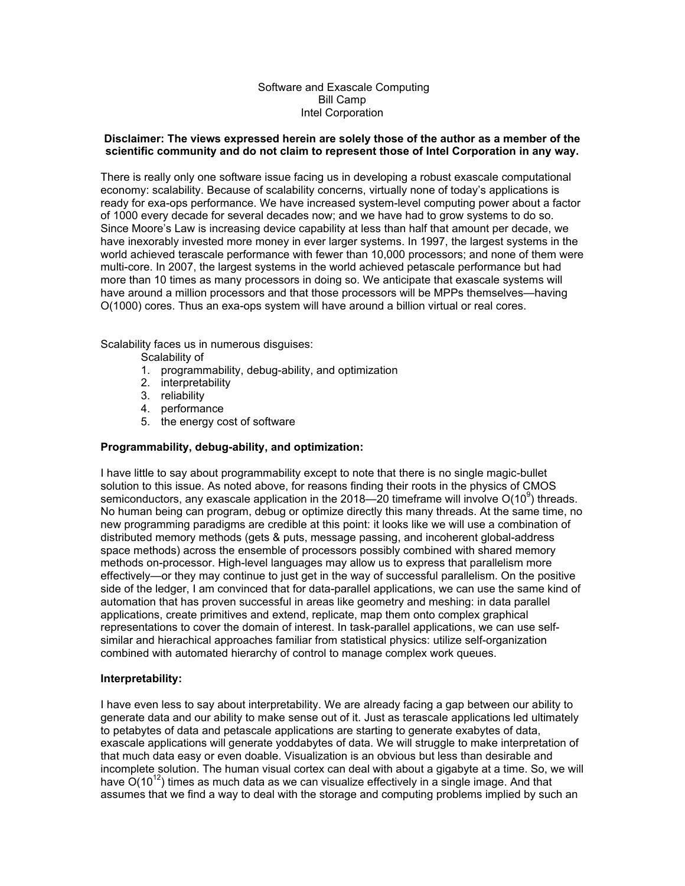Software and Exascale Computing Bill Camp Intel Corporation

#### **Disclaimer: The views expressed herein are solely those of the author as a member of the scientific community and do not claim to represent those of Intel Corporation in any way.**

There is really only one software issue facing us in developing a robust exascale computational economy: scalability. Because of scalability concerns, virtually none of today's applications is ready for exa-ops performance. We have increased system-level computing power about a factor of 1000 every decade for several decades now; and we have had to grow systems to do so. Since Moore's Law is increasing device capability at less than half that amount per decade, we have inexorably invested more money in ever larger systems. In 1997, the largest systems in the world achieved terascale performance with fewer than 10,000 processors; and none of them were multi-core. In 2007, the largest systems in the world achieved petascale performance but had more than 10 times as many processors in doing so. We anticipate that exascale systems will have around a million processors and that those processors will be MPPs themselves—having O(1000) cores. Thus an exa-ops system will have around a billion virtual or real cores.

Scalability faces us in numerous disguises:

Scalability of

- 1. programmability, debug-ability, and optimization
- 2. interpretability
- 3. reliability
- 4. performance
- 5. the energy cost of software

# **Programmability, debug-ability, and optimization:**

I have little to say about programmability except to note that there is no single magic-bullet solution to this issue. As noted above, for reasons finding their roots in the physics of CMOS semiconductors, any exascale application in the 2018–20 timeframe will involve O(10<sup>9</sup>) threads. No human being can program, debug or optimize directly this many threads. At the same time, no new programming paradigms are credible at this point: it looks like we will use a combination of distributed memory methods (gets & puts, message passing, and incoherent global-address space methods) across the ensemble of processors possibly combined with shared memory methods on-processor. High-level languages may allow us to express that parallelism more effectively—or they may continue to just get in the way of successful parallelism. On the positive side of the ledger, I am convinced that for data-parallel applications, we can use the same kind of automation that has proven successful in areas like geometry and meshing: in data parallel applications, create primitives and extend, replicate, map them onto complex graphical representations to cover the domain of interest. In task-parallel applications, we can use selfsimilar and hierachical approaches familiar from statistical physics: utilize self-organization combined with automated hierarchy of control to manage complex work queues.

# **Interpretability:**

I have even less to say about interpretability. We are already facing a gap between our ability to generate data and our ability to make sense out of it. Just as terascale applications led ultimately to petabytes of data and petascale applications are starting to generate exabytes of data, exascale applications will generate yoddabytes of data. We will struggle to make interpretation of that much data easy or even doable. Visualization is an obvious but less than desirable and incomplete solution. The human visual cortex can deal with about a gigabyte at a time. So, we will have  $O(10^{12})$  times as much data as we can visualize effectively in a single image. And that assumes that we find a way to deal with the storage and computing problems implied by such an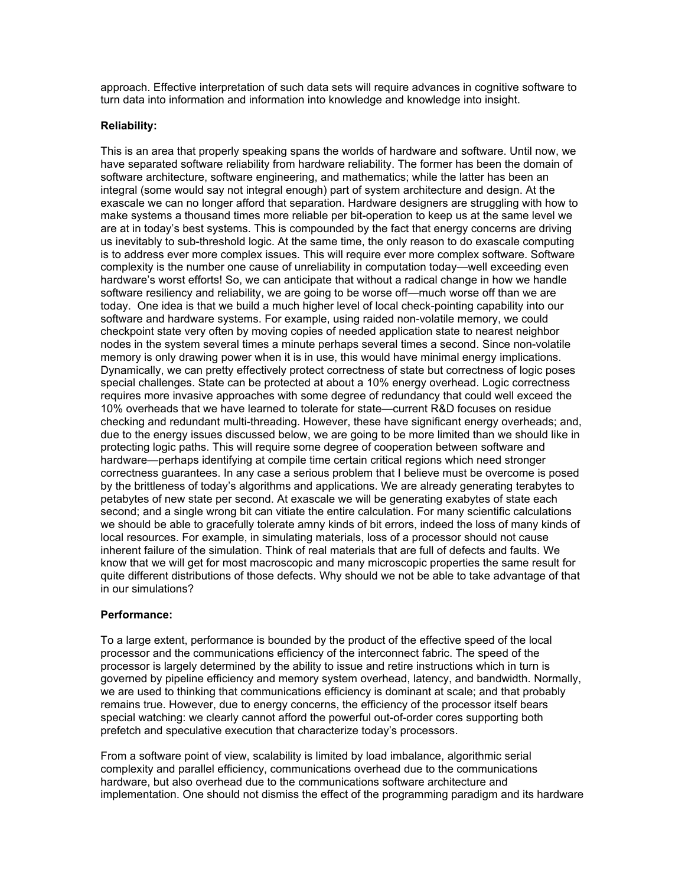approach. Effective interpretation of such data sets will require advances in cognitive software to turn data into information and information into knowledge and knowledge into insight.

# **Reliability:**

This is an area that properly speaking spans the worlds of hardware and software. Until now, we have separated software reliability from hardware reliability. The former has been the domain of software architecture, software engineering, and mathematics; while the latter has been an integral (some would say not integral enough) part of system architecture and design. At the exascale we can no longer afford that separation. Hardware designers are struggling with how to make systems a thousand times more reliable per bit-operation to keep us at the same level we are at in today's best systems. This is compounded by the fact that energy concerns are driving us inevitably to sub-threshold logic. At the same time, the only reason to do exascale computing is to address ever more complex issues. This will require ever more complex software. Software complexity is the number one cause of unreliability in computation today—well exceeding even hardware's worst efforts! So, we can anticipate that without a radical change in how we handle software resiliency and reliability, we are going to be worse off—much worse off than we are today. One idea is that we build a much higher level of local check-pointing capability into our software and hardware systems. For example, using raided non-volatile memory, we could checkpoint state very often by moving copies of needed application state to nearest neighbor nodes in the system several times a minute perhaps several times a second. Since non-volatile memory is only drawing power when it is in use, this would have minimal energy implications. Dynamically, we can pretty effectively protect correctness of state but correctness of logic poses special challenges. State can be protected at about a 10% energy overhead. Logic correctness requires more invasive approaches with some degree of redundancy that could well exceed the 10% overheads that we have learned to tolerate for state—current R&D focuses on residue checking and redundant multi-threading. However, these have significant energy overheads; and, due to the energy issues discussed below, we are going to be more limited than we should like in protecting logic paths. This will require some degree of cooperation between software and hardware—perhaps identifying at compile time certain critical regions which need stronger correctness guarantees. In any case a serious problem that I believe must be overcome is posed by the brittleness of today's algorithms and applications. We are already generating terabytes to petabytes of new state per second. At exascale we will be generating exabytes of state each second; and a single wrong bit can vitiate the entire calculation. For many scientific calculations we should be able to gracefully tolerate amny kinds of bit errors, indeed the loss of many kinds of local resources. For example, in simulating materials, loss of a processor should not cause inherent failure of the simulation. Think of real materials that are full of defects and faults. We know that we will get for most macroscopic and many microscopic properties the same result for quite different distributions of those defects. Why should we not be able to take advantage of that in our simulations?

### **Performance:**

To a large extent, performance is bounded by the product of the effective speed of the local processor and the communications efficiency of the interconnect fabric. The speed of the processor is largely determined by the ability to issue and retire instructions which in turn is governed by pipeline efficiency and memory system overhead, latency, and bandwidth. Normally, we are used to thinking that communications efficiency is dominant at scale; and that probably remains true. However, due to energy concerns, the efficiency of the processor itself bears special watching: we clearly cannot afford the powerful out-of-order cores supporting both prefetch and speculative execution that characterize today's processors.

From a software point of view, scalability is limited by load imbalance, algorithmic serial complexity and parallel efficiency, communications overhead due to the communications hardware, but also overhead due to the communications software architecture and implementation. One should not dismiss the effect of the programming paradigm and its hardware